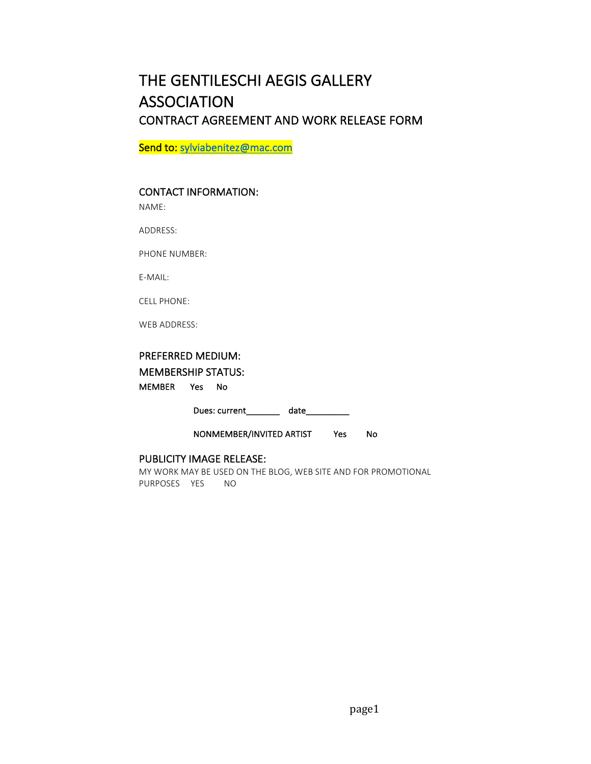# THE GENTILESCHI AEGIS GALLERY **ASSOCIATION** CONTRACT AGREEMENT AND WORK RELEASE FORM

Send to: sylviabenitez@mac.com

# CONTACT INFORMATION:

NAME:

ADDRESS:

PHONE NUMBER:

E-MAIL:

CELL PHONE:

WEB ADDRESS:

# PREFERRED MEDIUM:

MEMBERSHIP STATUS:

MEMBER Yes No

Dues: current\_\_\_\_\_\_\_\_\_ date\_\_\_\_\_\_\_\_

NONMEMBER/INVITED ARTIST Yes No

## PUBLICITY IMAGE RELEASE:

MY WORK MAY BE USED ON THE BLOG, WEB SITE AND FOR PROMOTIONAL PURPOSES YES NO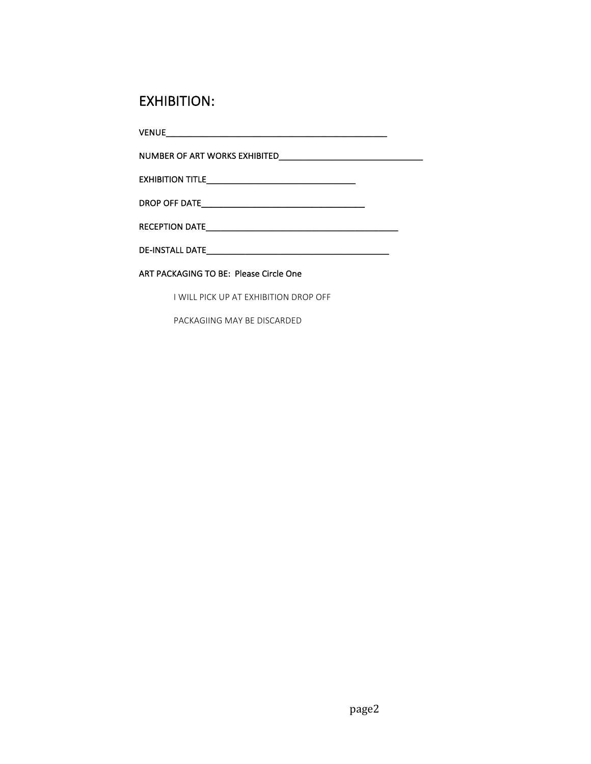# EXHIBITION:

 $\begin{tabular}{c} \bf{VENUE} \end{tabular}$ 

NUMBER OF ART WORKS EXHIBITED\_\_\_\_\_\_\_\_\_\_\_\_\_\_\_\_\_\_\_\_\_\_\_\_\_\_\_\_\_\_ 

EXHIBITION TITLE\_\_\_\_\_\_\_\_\_\_\_\_\_\_\_\_\_\_\_\_\_\_\_\_\_\_\_\_\_\_\_ 

DROP OFF DATE\_\_\_\_\_\_\_\_\_\_\_\_\_\_\_\_\_\_\_\_\_\_\_\_\_\_\_\_\_\_\_\_\_\_ 

RECEPTION DATE\_\_\_\_\_\_\_\_\_\_\_\_\_\_\_\_\_\_\_\_\_\_\_\_\_\_\_\_\_\_\_\_\_\_\_\_\_\_\_\_ 

DE-INSTALL DATE\_\_\_\_\_\_\_\_\_\_\_\_\_\_\_\_\_\_\_\_\_\_\_\_\_\_\_\_\_\_\_\_\_\_\_\_\_\_ 

## ART PACKAGING TO BE: Please Circle One

I WILL PICK UP AT EXHIBITION DROP OFF

PACKAGIING MAY BE DISCARDED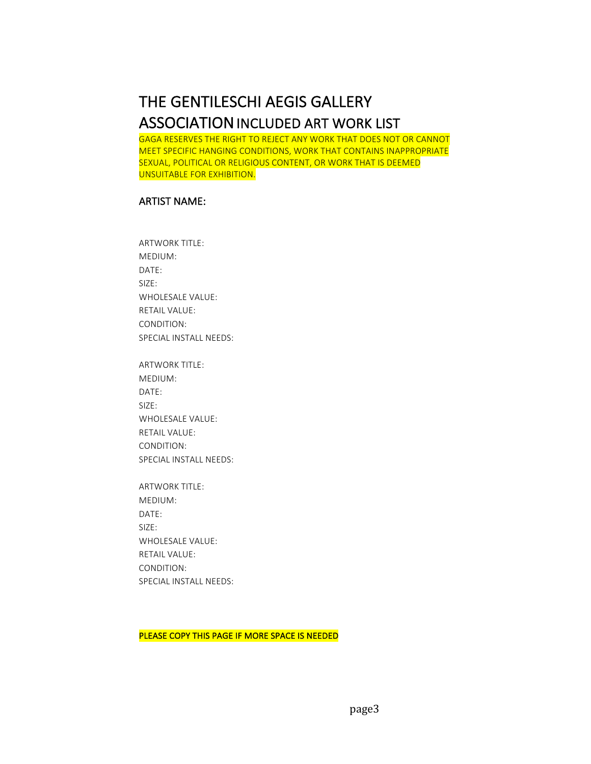# THE GENTILESCHI AEGIS GALLERY **ASSOCIATION INCLUDED ART WORK LIST**

GAGA RESERVES THE RIGHT TO REJECT ANY WORK THAT DOES NOT OR CANNOT MEET SPECIFIC HANGING CONDITIONS, WORK THAT CONTAINS INAPPROPRIATE SEXUAL, POLITICAL OR RELIGIOUS CONTENT, OR WORK THAT IS DEEMED UNSUITABLE FOR EXHIBITION.

# **ARTIST NAME:**

**ARTWORK TITLE:** MEDIUM: DATE: SIZE: WHOLESALE VALUE: **RETAIL VALUE:** CONDITION: SPECIAL INSTALL NEEDS:

ARTWORK TITLE: MEDIUM: DATE: SIZE: WHOLESALE VALUE: **RETAIL VALUE:** CONDITION: SPECIAL INSTALL NEEDS:

ARTWORK TITLE: MEDIUM: DATE: SIZE: WHOLESALE VALUE: **RETAIL VALUE:** CONDITION: SPECIAL INSTALL NEEDS:

PLEASE COPY THIS PAGE IF MORE SPACE IS NEEDED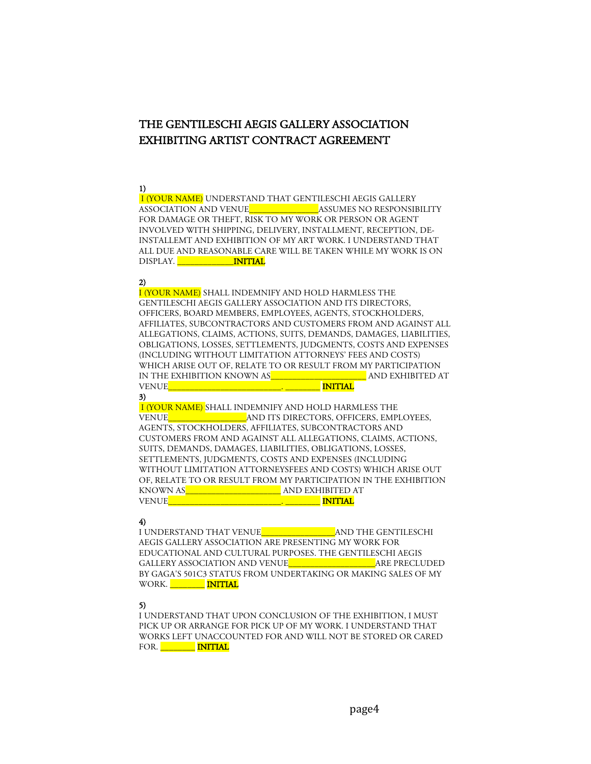# THE GENTILESCHI AEGIS GALLERY ASSOCIATION EXHIBITING ARTIST CONTRACT AGREEMENT

#### 1)

I (YOUR NAME) UNDERSTAND THAT GENTILESCHI AEGIS GALLERY ASSOCIATION AND VENUE ASSUMES NO RESPONSIBILITY FOR DAMAGE OR THEFT, RISK TO MY WORK OR PERSON OR AGENT INVOLVED WITH SHIPPING, DELIVERY, INSTALLMENT, RECEPTION, DE-INSTALLEMT AND EXHIBITION OF MY ART WORK. I UNDERSTAND THAT ALL DUE AND REASONABLE CARE WILL BE TAKEN WHILE MY WORK IS ON DISPLAY. **\_\_\_\_\_\_\_\_\_\_\_\_\_\_\_\_INITIAL** 

#### 2)

I (YOUR NAME) SHALL INDEMNIFY AND HOLD HARMLESS THE GENTILESCHI AEGIS GALLERY ASSOCIATION AND ITS DIRECTORS, OFFICERS, BOARD MEMBERS, EMPLOYEES, AGENTS, STOCKHOLDERS, AFFILIATES, SUBCONTRACTORS AND CUSTOMERS FROM AND AGAINST ALL ALLEGATIONS, CLAIMS, ACTIONS, SUITS, DEMANDS, DAMAGES, LIABILITIES, OBLIGATIONS, LOSSES, SETTLEMENTS, JUDGMENTS, COSTS AND EXPENSES (INCLUDING WITHOUT LIMITATION ATTORNEYS' FEES AND COSTS) WHICH ARISE OUT OF, RELATE TO OR RESULT FROM MY PARTICIPATION IN THE EXHIBITION KNOWN AS\_\_\_\_\_\_\_\_\_\_\_\_\_\_\_\_\_\_\_\_\_\_ AND EXHIBITED AT VENUE\_\_\_\_\_\_\_\_\_\_\_\_\_\_\_\_\_\_\_\_\_\_\_\_\_\_. \_\_\_\_\_\_\_\_ INITIAL

3) I (YOUR NAME) SHALL INDEMNIFY AND HOLD HARMLESS THE VENUE **AND ITS DIRECTORS, OFFICERS, EMPLOYEES,** AGENTS, STOCKHOLDERS, AFFILIATES, SUBCONTRACTORS AND CUSTOMERS FROM AND AGAINST ALL ALLEGATIONS, CLAIMS, ACTIONS, SUITS, DEMANDS, DAMAGES, LIABILITIES, OBLIGATIONS, LOSSES, SETTLEMENTS, JUDGMENTS, COSTS AND EXPENSES (INCLUDING WITHOUT LIMITATION ATTORNEYSFEES AND COSTS) WHICH ARISE OUT OF, RELATE TO OR RESULT FROM MY PARTICIPATION IN THE EXHIBITION KNOWN AS\_\_\_\_\_\_\_\_\_\_\_\_\_\_\_\_\_\_\_\_\_\_ AND EXHIBITED AT  $\begin{array}{|c|c|c|}\hline \quad \quad & \quad \quad & \quad \quad \quad & \quad \quad \quad & \quad \quad \quad & \quad \quad \quad & \quad \quad & \quad \quad & \quad \quad & \quad \quad & \quad \quad & \quad \quad & \quad \quad & \quad \quad & \quad \quad & \quad \quad & \quad \quad & \quad \quad & \quad \quad & \quad \quad & \quad \quad & \quad \quad & \quad \quad & \quad \quad & \quad \quad & \quad \quad & \quad \quad & \quad \quad & \quad \quad & \quad \quad & \quad \quad & \quad \quad & \quad \quad & \quad \quad & \quad \quad & \quad \quad & \quad \quad & \quad \quad & \quad \quad & \quad$ 

#### 4)

I UNDERSTAND THAT VENUE\_\_\_\_\_\_\_\_\_\_\_\_\_\_\_\_\_AND THE GENTILESCHI AEGIS GALLERY ASSOCIATION ARE PRESENTING MY WORK FOR EDUCATIONAL AND CULTURAL PURPOSES. THE GENTILESCHI AEGIS GALLERY ASSOCIATION AND VENUE THE SAME PRECLUDED BY GAGA'S 501C3 STATUS FROM UNDERTAKING OR MAKING SALES OF MY WORK. **\_\_\_\_\_\_\_\_ INITIAL** 

#### 5)

I UNDERSTAND THAT UPON CONCLUSION OF THE EXHIBITION, I MUST PICK UP OR ARRANGE FOR PICK UP OF MY WORK. I UNDERSTAND THAT WORKS LEFT UNACCOUNTED FOR AND WILL NOT BE STORED OR CARED FOR. MITIAL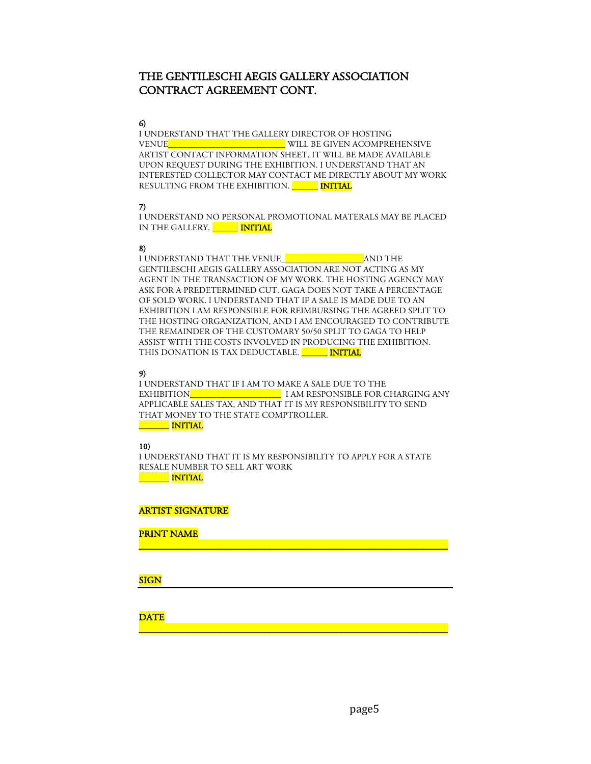# THE GENTILESCHI AEGIS GALLERY ASSOCIATION CONTRACT AGREEMENT CONT.

#### 6)

I UNDERSTAND THAT THE GALLERY DIRECTOR OF HOSTING VENUE  $\blacksquare$  WILL BE GIVEN ACOMPREHENSIVE ARTIST CONTACT INFORMATION SHEET. IT WILL BE MADE AVAILABLE UPON REQUEST DURING THE EXHIBITION. I UNDERSTAND THAT AN INTERESTED COLLECTOR MAY CONTACT ME DIRECTLY ABOUT MY WORK RESULTING FROM THE EXHIBITION. MINITIAL

#### 7)

I UNDERSTAND NO PERSONAL PROMOTIONAL MATERALS MAY BE PLACED IN THE GALLERY. **\_\_\_\_\_\_\_ INITIAL** 

### 8)

I UNDERSTAND THAT THE VENUE\_\_\_\_\_\_\_\_\_\_\_\_\_\_\_\_\_\_\_AND THE GENTILESCHI AEGIS GALLERY ASSOCIATION ARE NOT ACTING AS MY AGENT IN THE TRANSACTION OF MY WORK. THE HOSTING AGENCY MAY ASK FOR A PREDETERMINED CUT. GAGA DOES NOT TAKE A PERCENTAGE OF SOLD WORK. I UNDERSTAND THAT IF A SALE IS MADE DUE TO AN EXHIBITION I AM RESPONSIBLE FOR REIMBURSING THE AGREED SPLIT TO THE HOSTING ORGANIZATION, AND I AM ENCOURAGED TO CONTRIBUTE THE REMAINDER OF THE CUSTOMARY 50/50 SPLIT TO GAGA TO HELP ASSIST WITH THE COSTS INVOLVED IN PRODUCING THE EXHIBITION. THIS DONATION IS TAX DEDUCTABLE. MITIAL

## 9)

I UNDERSTAND THAT IF I AM TO MAKE A SALE DUE TO THE EXHIBITION **EXHIBITION** I AM RESPONSIBLE FOR CHARGING ANY APPLICABLE SALES TAX, AND THAT IT IS MY RESPONSIBILITY TO SEND THAT MONEY TO THE STATE COMPTROLLER.  $\blacksquare$  INITIAL

# 10)

I UNDERSTAND THAT IT IS MY RESPONSIBILITY TO APPLY FOR A STATE RESALE NUMBER TO SELL ART WORK \_\_\_\_\_\_\_ INITIAL

\_\_\_\_\_\_\_\_\_\_\_\_\_\_\_\_\_\_\_\_\_\_\_\_\_\_\_\_\_\_\_\_\_\_\_\_\_\_\_\_\_\_\_\_\_\_\_\_\_\_\_\_\_\_\_\_\_\_\_\_\_\_\_\_

\_\_\_\_\_\_\_\_\_\_\_\_\_\_\_\_\_\_\_\_\_\_\_\_\_\_\_\_\_\_\_\_\_\_\_\_\_\_\_\_\_\_\_\_\_\_\_\_\_\_\_\_\_\_\_\_\_\_\_\_\_\_\_\_

### ARTIST SIGNATURE

PRINT NAME

#### **SIGN**

**DATE**